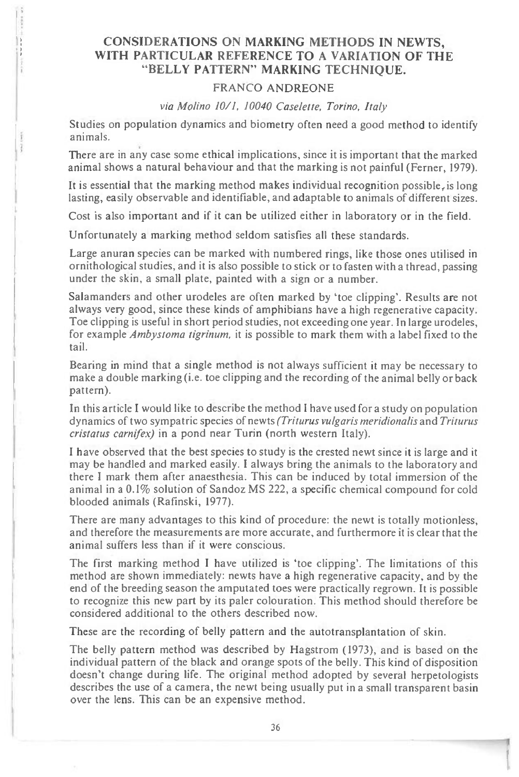## **CONSIDERATIONS ON MARKING METHODS IN NEWTS, WITH PARTICULAR REFERENCE TO A VARIATION OF THE "BELLY PATTERN" MARKING TECHNIQUE.**

## FRANCO ANDREONE

*via Molino 10/1, 10040 Caselette, Torino, Italy* 

Studies on population dynamics and biometry often need a good method to identify animals.

There are in any case some ethical implications, since it is important that the marked animal shows a natural behaviour and that the marking is not painful (Ferner, 1979).

It is essential that the marking method makes individual recognition possible, is long lasting, easily observable and identifiable, and adaptable to animals of different sizes.

Cost is also important and if it can be utilized either in laboratory or in the field.

Unfortunately a marking method seldom satisfies all these standards.

Large anuran species can be marked with numbered rings, like those ones utilised in ornithological studies, and it is also possible to stick or to fasten with a thread, passing under the skin, a small plate, painted with a sign or a number.

Salamanders and other urodeles are often marked by 'toe clipping'. Results are not always very good, since these kinds of amphibians have a high regenerative capacity. Toe clipping is useful in short period studies, not exceeding one year. In large urodeles, for example *Ambystoma tigrinum,* it is possible to mark them with a label fixed to the tail.

Bearing in mind that a single method is not always sufficient it may be necessary to make a double marking (i.e. toe clipping and the recording of the animal belly or back pattern).

In this article I would like to describe the method I have used fora study on population dynamics of two sympatric species of newts *(Triturus vulgaris meridionalis* and *Triturus cristatus carnifex*) in a pond near Turin (north western Italy).

I have observed that the best species to study is the crested newt since it is large and it may be handled and marked easily. I always bring the animals to the laboratory and there I mark them after anaesthesia. This can be induced by total immersion of the animal in a 0.1% solution of Sandoz MS 222, a specific chemical compound for cold blooded animals (Rafinski, 1977).

There are many advantages to this kind of procedure: the newt is totally motionless, and therefore the measurements are more accurate, and furthermore it is clear that the animal suffers less than if it were conscious.

The first marking method I have utilized is 'toe clipping'. The limitations of this method are shown immediately: newts have a high regenerative capacity, and by the end of the breeding season the amputated toes were practically regrown. It is possible to recognize this new part by its paler colouration. This method should therefore be considered additional to the others described now.

These are the recording of belly pattern and the autotransplantation of skin.

The belly pattern method was described by Hagstrom (1973), and is based on the individual pattern of the black and orange spots of the belly. This kind of disposition doesn't change during life. The original method adopted by several herpetologists describes the use of a camera, the newt being usually put in a small transparent basin over the lens. This can be an expensive method.